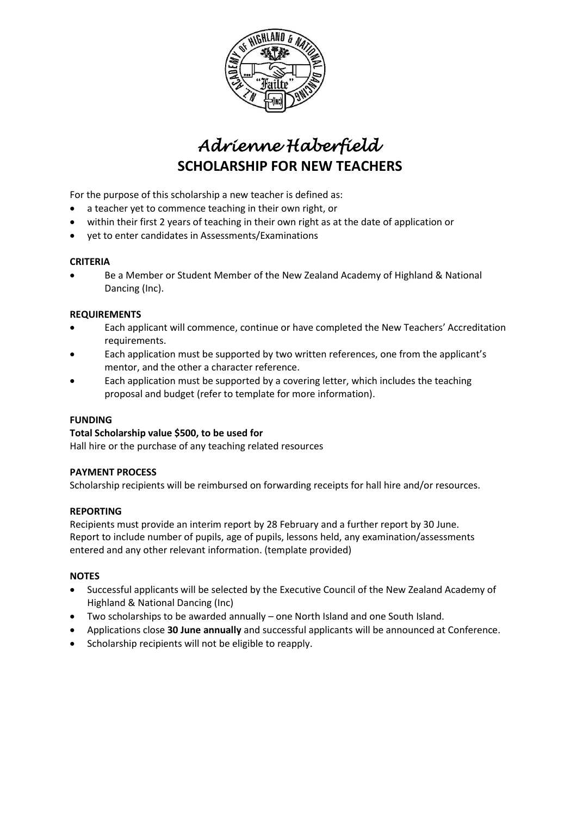

# *Adrienne Haberfield*  **SCHOLARSHIP FOR NEW TEACHERS**

For the purpose of this scholarship a new teacher is defined as:

- a teacher yet to commence teaching in their own right, or
- within their first 2 years of teaching in their own right as at the date of application or
- yet to enter candidates in Assessments/Examinations

#### **CRITERIA**

• Be a Member or Student Member of the New Zealand Academy of Highland & National Dancing (Inc).

#### **REQUIREMENTS**

- Each applicant will commence, continue or have completed the New Teachers' Accreditation requirements.
- Each application must be supported by two written references, one from the applicant's mentor, and the other a character reference.
- Each application must be supported by a covering letter, which includes the teaching proposal and budget (refer to template for more information).

#### **FUNDING**

#### **Total Scholarship value \$500, to be used for**

Hall hire or the purchase of any teaching related resources

#### **PAYMENT PROCESS**

Scholarship recipients will be reimbursed on forwarding receipts for hall hire and/or resources.

#### **REPORTING**

Recipients must provide an interim report by 28 February and a further report by 30 June. Report to include number of pupils, age of pupils, lessons held, any examination/assessments entered and any other relevant information. (template provided)

#### **NOTES**

- Successful applicants will be selected by the Executive Council of the New Zealand Academy of Highland & National Dancing (Inc)
- Two scholarships to be awarded annually one North Island and one South Island.
- Applications close **30 June annually** and successful applicants will be announced at Conference.
- Scholarship recipients will not be eligible to reapply.